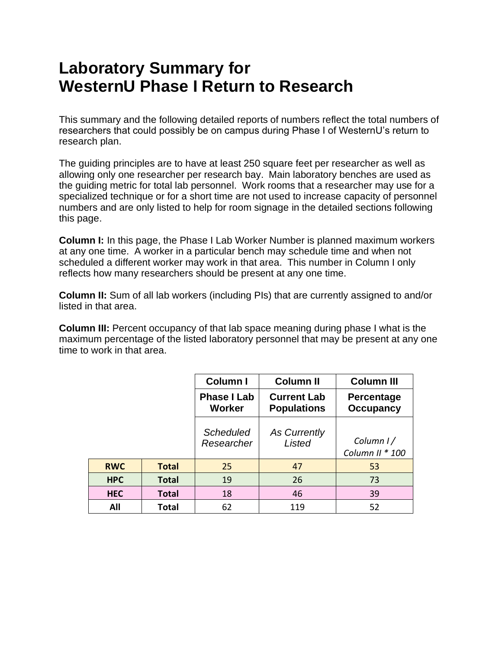# **Laboratory Summary for WesternU Phase I Return to Research**

This summary and the following detailed reports of numbers reflect the total numbers of researchers that could possibly be on campus during Phase I of WesternU's return to research plan.

The guiding principles are to have at least 250 square feet per researcher as well as allowing only one researcher per research bay. Main laboratory benches are used as the guiding metric for total lab personnel. Work rooms that a researcher may use for a specialized technique or for a short time are not used to increase capacity of personnel numbers and are only listed to help for room signage in the detailed sections following this page.

**Column I:** In this page, the Phase I Lab Worker Number is planned maximum workers at any one time. A worker in a particular bench may schedule time and when not scheduled a different worker may work in that area. This number in Column I only reflects how many researchers should be present at any one time.

**Column II:** Sum of all lab workers (including PIs) that are currently assigned to and/or listed in that area.

**Column III:** Percent occupancy of that lab space meaning during phase I what is the maximum percentage of the listed laboratory personnel that may be present at any one time to work in that area.

|            |              | <b>Column I</b>                     | <b>Column II</b>                         | <b>Column III</b>              |
|------------|--------------|-------------------------------------|------------------------------------------|--------------------------------|
|            |              | <b>Phase I Lab</b><br><b>Worker</b> | <b>Current Lab</b><br><b>Populations</b> | Percentage<br><b>Occupancy</b> |
|            |              | <b>Scheduled</b><br>Researcher      | As Currently<br>Listed                   | Column $1/$<br>Column II * 100 |
| <b>RWC</b> | <b>Total</b> | 25                                  | 47                                       | 53                             |
| <b>HPC</b> | <b>Total</b> | 19                                  | 26                                       | 73                             |
| <b>HEC</b> | <b>Total</b> | 18                                  | 46                                       | 39                             |
| All        | <b>Total</b> | 62                                  | 119                                      | 52                             |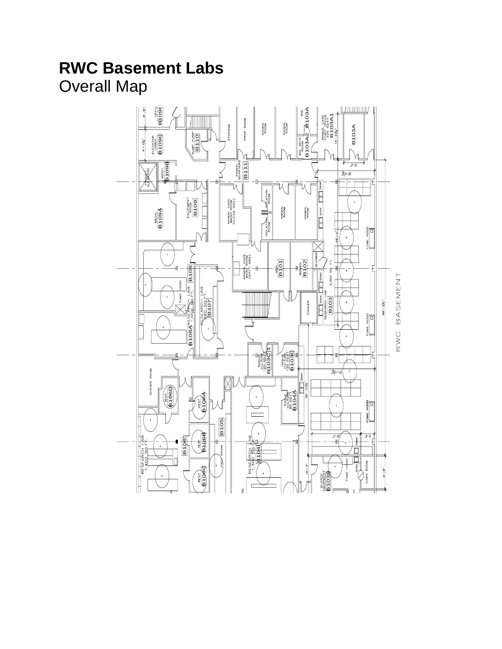# **RWC Basement Labs**

Overall Map

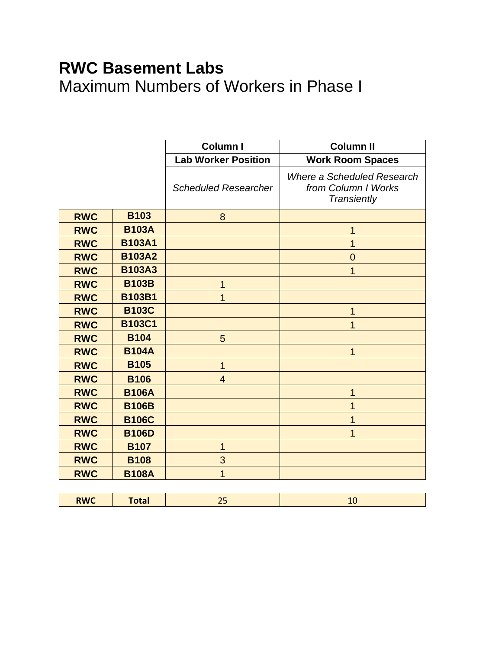## **RWC Basement Labs** Maximum Numbers of Workers in Phase I

|            |               | Column I                    | <b>Column II</b>                                                        |
|------------|---------------|-----------------------------|-------------------------------------------------------------------------|
|            |               | <b>Lab Worker Position</b>  | <b>Work Room Spaces</b>                                                 |
|            |               | <b>Scheduled Researcher</b> | Where a Scheduled Research<br>from Column I Works<br><b>Transiently</b> |
| <b>RWC</b> | <b>B103</b>   | 8                           |                                                                         |
| <b>RWC</b> | <b>B103A</b>  |                             |                                                                         |
| <b>RWC</b> | <b>B103A1</b> |                             | 1                                                                       |
| <b>RWC</b> | <b>B103A2</b> |                             | $\overline{0}$                                                          |
| <b>RWC</b> | <b>B103A3</b> |                             |                                                                         |
| <b>RWC</b> | <b>B103B</b>  | 1                           |                                                                         |
| <b>RWC</b> | <b>B103B1</b> | 1                           |                                                                         |
| <b>RWC</b> | <b>B103C</b>  |                             | 1                                                                       |
| <b>RWC</b> | <b>B103C1</b> |                             |                                                                         |
| <b>RWC</b> | <b>B104</b>   | 5                           |                                                                         |
| <b>RWC</b> | <b>B104A</b>  |                             | 1                                                                       |
| <b>RWC</b> | <b>B105</b>   | $\overline{1}$              |                                                                         |
| <b>RWC</b> | <b>B106</b>   | $\overline{4}$              |                                                                         |
| <b>RWC</b> | <b>B106A</b>  |                             | 1                                                                       |
| <b>RWC</b> | <b>B106B</b>  |                             |                                                                         |
| <b>RWC</b> | <b>B106C</b>  |                             |                                                                         |
| <b>RWC</b> | <b>B106D</b>  |                             |                                                                         |
| <b>RWC</b> | <b>B107</b>   | 1                           |                                                                         |
| <b>RWC</b> | <b>B108</b>   | 3                           |                                                                         |
| <b>RWC</b> | <b>B108A</b>  | 1                           |                                                                         |

| <b>RWC</b><br>****<br>$- - -$<br>$-1$<br>-- |
|---------------------------------------------|
|---------------------------------------------|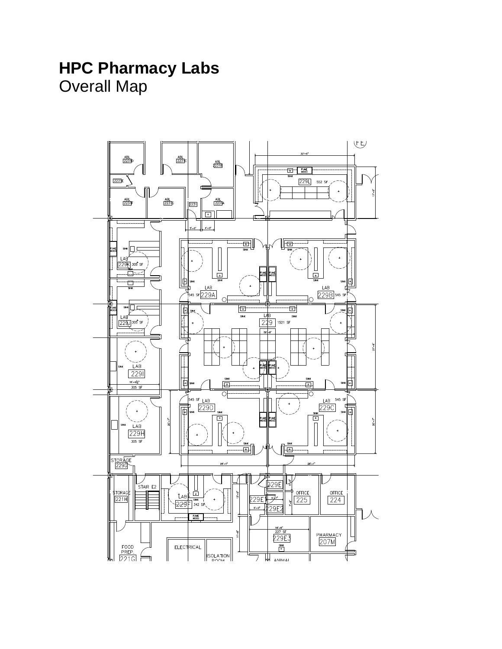#### **HPC Pharmacy Labs** Overall Map

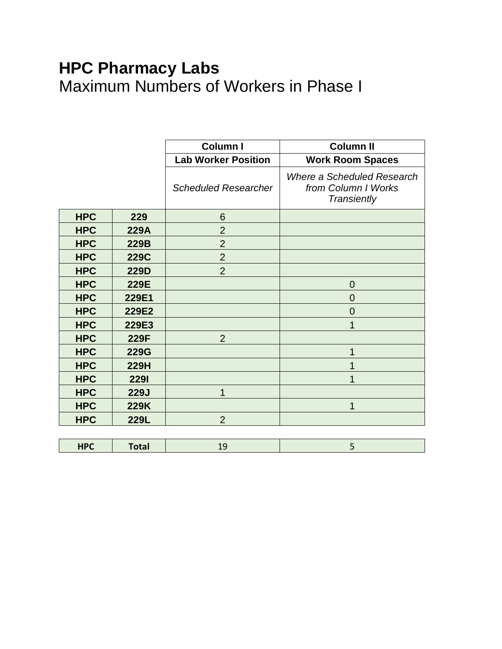# **HPC Pharmacy Labs** Maximum Numbers of Workers in Phase I

|            |              | Column I                    | <b>Column II</b>                                                 |
|------------|--------------|-----------------------------|------------------------------------------------------------------|
|            |              | <b>Lab Worker Position</b>  | <b>Work Room Spaces</b>                                          |
|            |              | <b>Scheduled Researcher</b> | Where a Scheduled Research<br>from Column I Works<br>Transiently |
| <b>HPC</b> | 229          | 6                           |                                                                  |
| <b>HPC</b> | <b>229A</b>  | $\overline{2}$              |                                                                  |
| <b>HPC</b> | 229B         | $\overline{2}$              |                                                                  |
| <b>HPC</b> | <b>229C</b>  | $\overline{2}$              |                                                                  |
| <b>HPC</b> | <b>229D</b>  | $\overline{2}$              |                                                                  |
| <b>HPC</b> | 229E         |                             | $\overline{0}$                                                   |
| <b>HPC</b> | 229E1        |                             | $\overline{0}$                                                   |
| <b>HPC</b> | 229E2        |                             | 0                                                                |
| <b>HPC</b> | 229E3        |                             | 1                                                                |
| <b>HPC</b> | 229F         | $\overline{2}$              |                                                                  |
| <b>HPC</b> | <b>229G</b>  |                             | 1                                                                |
| <b>HPC</b> | <b>229H</b>  |                             |                                                                  |
| <b>HPC</b> | <b>2291</b>  |                             | 1                                                                |
| <b>HPC</b> | <b>229J</b>  | 1                           |                                                                  |
| <b>HPC</b> | 229K         |                             | 1                                                                |
| <b>HPC</b> | <b>229L</b>  | $\overline{2}$              |                                                                  |
|            |              |                             |                                                                  |
| <b>HPC</b> | <b>Total</b> | 19                          | 5                                                                |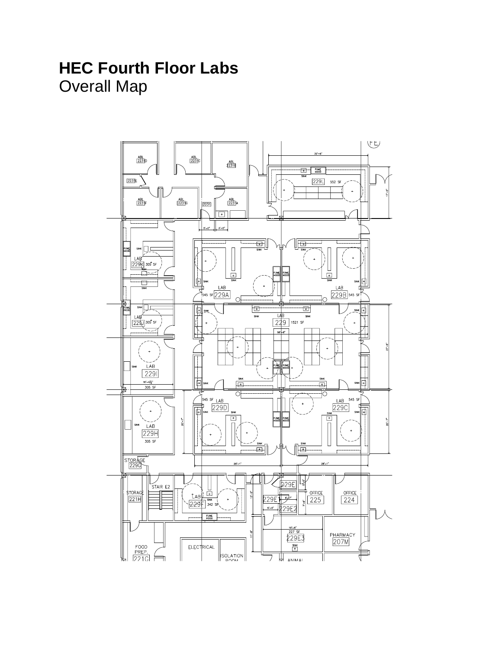## **HEC Fourth Floor Labs** Overall Map